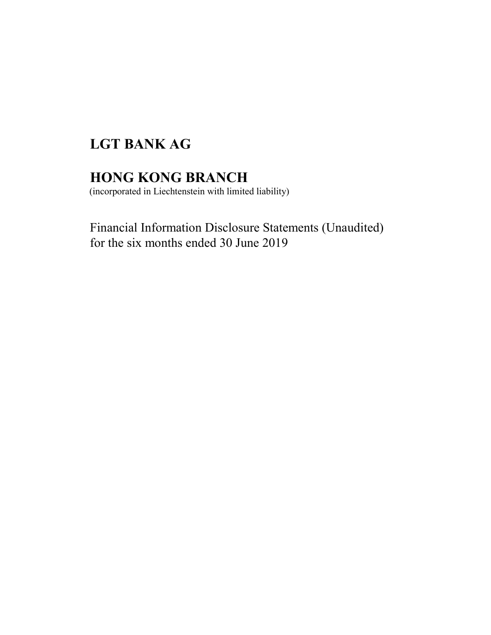# LGT BANK AG

## HONG KONG BRANCH

(incorporated in Liechtenstein with limited liability)

Financial Information Disclosure Statements (Unaudited) for the six months ended 30 June 2019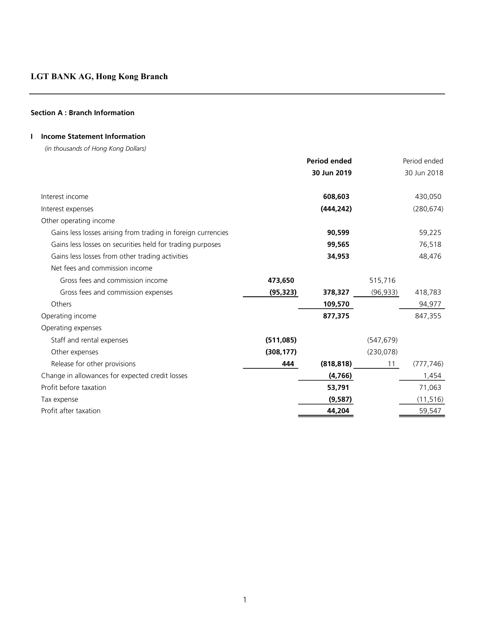## Section A : Branch Information

## I Income Statement Information

(in thousands of Hong Kong Dollars)

|                                                              |            | <b>Period ended</b> |            | Period ended |
|--------------------------------------------------------------|------------|---------------------|------------|--------------|
|                                                              |            | 30 Jun 2019         |            | 30 Jun 2018  |
|                                                              |            |                     |            |              |
| Interest income                                              |            | 608,603             |            | 430,050      |
| Interest expenses                                            |            | (444, 242)          |            | (280, 674)   |
| Other operating income                                       |            |                     |            |              |
| Gains less losses arising from trading in foreign currencies |            | 90,599              |            | 59,225       |
| Gains less losses on securities held for trading purposes    |            | 99,565              |            | 76,518       |
| Gains less losses from other trading activities              |            | 34,953              |            | 48,476       |
| Net fees and commission income                               |            |                     |            |              |
| Gross fees and commission income                             | 473,650    |                     | 515,716    |              |
| Gross fees and commission expenses                           | (95, 323)  | 378,327             | (96, 933)  | 418,783      |
| Others                                                       |            | 109,570             |            | 94,977       |
| Operating income                                             |            | 877,375             |            | 847,355      |
| Operating expenses                                           |            |                     |            |              |
| Staff and rental expenses                                    | (511,085)  |                     | (547, 679) |              |
| Other expenses                                               | (308, 177) |                     | (230, 078) |              |
| Release for other provisions                                 | 444        | (818, 818)          | 11         | (777, 746)   |
| Change in allowances for expected credit losses              |            | (4,766)             |            | 1,454        |
| Profit before taxation                                       |            | 53,791              |            | 71,063       |
| Tax expense                                                  |            | (9,587)             |            | (11, 516)    |
| Profit after taxation                                        |            | 44,204              |            | 59,547       |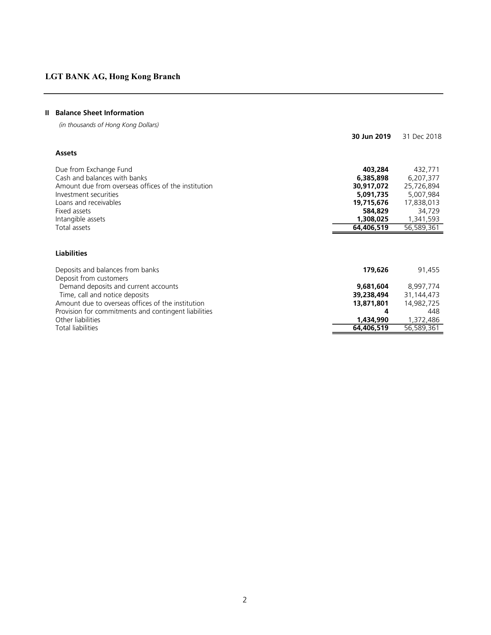## II Balance Sheet Information

(in thousands of Hong Kong Dollars)

|                                                                        | 30 Jun 2019             | 31 Dec 2018             |
|------------------------------------------------------------------------|-------------------------|-------------------------|
| <b>Assets</b>                                                          |                         |                         |
| Due from Exchange Fund                                                 | 403,284                 | 432,771                 |
| Cash and balances with banks                                           | 6,385,898               | 6,207,377               |
| Amount due from overseas offices of the institution                    | 30,917,072              | 25,726,894              |
| Investment securities                                                  | 5,091,735               | 5,007,984               |
| Loans and receivables                                                  | 19,715,676              | 17,838,013              |
| Fixed assets                                                           | 584,829                 | 34,729                  |
| Intangible assets                                                      | 1,308,025               | 1,341,593               |
| Total assets                                                           | 64,406,519              | 56,589,361              |
|                                                                        |                         |                         |
| <b>Liabilities</b>                                                     |                         |                         |
| Deposits and balances from banks<br>Deposit from customers             | 179,626                 | 91,455                  |
|                                                                        | 9,681,604               | 8,997,774               |
| Demand deposits and current accounts<br>Time, call and notice deposits | 39,238,494              | 31,144,473              |
| Amount due to overseas offices of the institution                      | 13,871,801              | 14,982,725              |
| Provision for commitments and contingent liabilities                   |                         | 448                     |
| Other liabilities<br><b>Total liabilities</b>                          | 1,434,990<br>64,406,519 | 1,372,486<br>56,589,361 |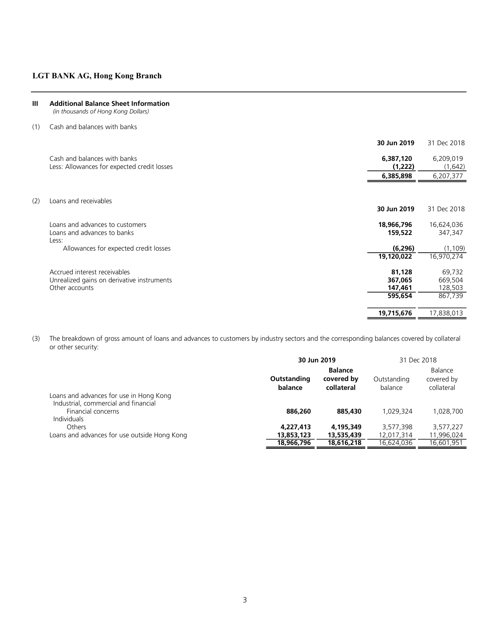III Additional Balance Sheet Information (in thousands of Hong Kong Dollars)

| Cash and balances with banks                                                                 |                                |                              |
|----------------------------------------------------------------------------------------------|--------------------------------|------------------------------|
|                                                                                              | 30 Jun 2019                    | 31 Dec 2018                  |
| Cash and balances with banks<br>Less: Allowances for expected credit losses                  | 6,387,120<br>(1,222)           | 6,209,019<br>(1,642)         |
|                                                                                              | 6,385,898                      | 6,207,377                    |
|                                                                                              |                                |                              |
|                                                                                              | 30 Jun 2019                    | 31 Dec 2018                  |
| Loans and advances to customers<br>Loans and advances to banks                               | 18,966,796<br>159,522          | 16,624,036<br>347,347        |
| Allowances for expected credit losses                                                        | (6, 296)<br>19,120,022         | (1, 109)<br>16,970,274       |
| Accrued interest receivables<br>Unrealized gains on derivative instruments<br>Other accounts | 81,128<br>367,065<br>147,461   | 69,732<br>669,504<br>128,503 |
|                                                                                              | 595,654                        | 867,739                      |
|                                                                                              | 19,715,676                     | 17,838,013                   |
|                                                                                              | Loans and receivables<br>Less: |                              |

(3) The breakdown of gross amount of loans and advances to customers by industry sectors and the corresponding balances covered by collateral or other security:

|                                                                                                                             |                        | 30 Jun 2019                                |                        | 31 Dec 2018                         |
|-----------------------------------------------------------------------------------------------------------------------------|------------------------|--------------------------------------------|------------------------|-------------------------------------|
|                                                                                                                             | Outstanding<br>balance | <b>Balance</b><br>covered by<br>collateral | Outstanding<br>balance | Balance<br>covered by<br>collateral |
| Loans and advances for use in Hong Kong<br>Industrial, commercial and financial<br>Financial concerns<br><b>Individuals</b> | 886,260                | 885,430                                    | 1.029.324              | 1,028,700                           |
| <b>Others</b>                                                                                                               | 4,227,413              | 4,195,349                                  | 3,577,398              | 3,577,227                           |
| Loans and advances for use outside Hong Kong                                                                                | 13,853,123             | 13,535,439                                 | 12,017,314             | 11,996,024                          |
|                                                                                                                             | 18,966,796             | 18,616,218                                 | 16.624.036             | 16.601.951                          |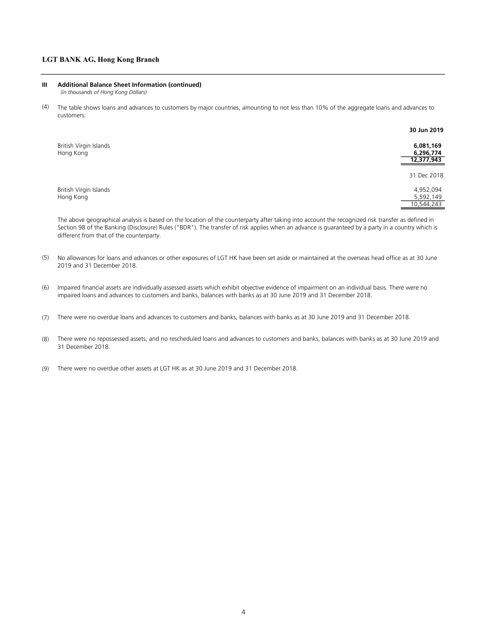#### III Additional Balance Sheet Information (continued)

(in thousands of Hong Kong Dollars)

(4) The table shows loans and advances to customers by major countries, amounting to not less than 10% of the aggregate loans and advances to customers:

|                                     | 30 Jun 2019            |
|-------------------------------------|------------------------|
| British Virgin Islands<br>Hong Kong | 6,081,169<br>6,296,774 |
|                                     | 12,377,943             |
|                                     | 31 Dec 2018            |
| British Virgin Islands              | 4,952,094              |
| Hong Kong                           | 5,592,149              |
|                                     | 10,544,243             |

The above geographical analysis is based on the location of the counterparty after taking into account the recognized risk transfer as defined in Section 98 of the Banking (Disclosure) Rules ("BDR"). The transfer of risk applies when an advance is guaranteed by a party in a country which is different from that of the counterparty.

- (5) No allowances for loans and advances or other exposures of LGT HK have been set aside or maintained at the overseas head office as at 30 June 2019 and 31 December 2018.
- (6) Impaired financial assets are individually assessed assets which exhibit objective evidence of impairment on an individual basis. There were no impaired loans and advances to customers and banks, balances with banks as at 30 June 2019 and 31 December 2018.
- (7) There were no overdue loans and advances to customers and banks, balances with banks as at 30 June 2019 and 31 December 2018.
- (8) There were no repossessed assets, and no rescheduled loans and advances to customers and banks, balances with banks as at 30 June 2019 and 31 December 2018.
- (9) There were no overdue other assets at LGT HK as at 30 June 2019 and 31 December 2018.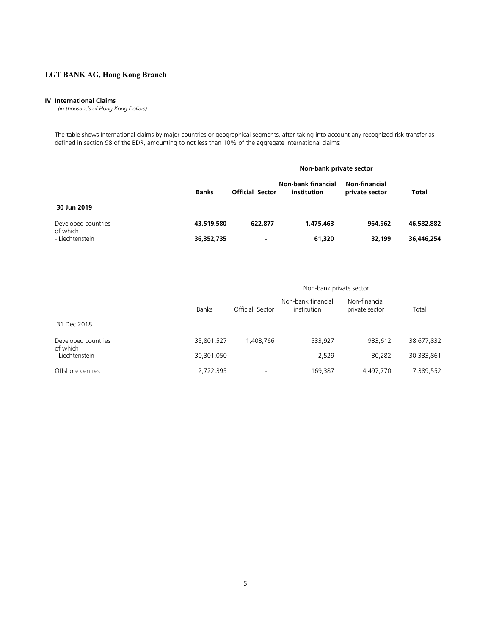#### IV International Claims

(in thousands of Hong Kong Dollars)

The table shows International claims by major countries or geographical segments, after taking into account any recognized risk transfer as defined in section 98 of the BDR, amounting to not less than 10% of the aggregate International claims:

|                                 |              | Non-bank private sector |                                   |                                 |            |
|---------------------------------|--------------|-------------------------|-----------------------------------|---------------------------------|------------|
|                                 | <b>Banks</b> | <b>Official Sector</b>  | Non-bank financial<br>institution | Non-financial<br>private sector | Total      |
| 30 Jun 2019                     |              |                         |                                   |                                 |            |
| Developed countries<br>of which | 43,519,580   | 622,877                 | 1,475,463                         | 964.962                         | 46,582,882 |
| - Liechtenstein                 | 36,352,735   | ۰                       | 61,320                            | 32,199                          | 36,446,254 |

|                                 |              | Non-bank private sector  |                                   |                                 |            |  |
|---------------------------------|--------------|--------------------------|-----------------------------------|---------------------------------|------------|--|
|                                 | <b>Banks</b> | Official Sector          | Non-bank financial<br>institution | Non-financial<br>private sector | Total      |  |
| 31 Dec 2018                     |              |                          |                                   |                                 |            |  |
| Developed countries<br>of which | 35,801,527   | 1.408.766                | 533.927                           | 933.612                         | 38,677,832 |  |
| - Liechtenstein                 | 30,301,050   | $\overline{\phantom{a}}$ | 2,529                             | 30,282                          | 30,333,861 |  |
| Offshore centres                | 2,722,395    | $\overline{\phantom{a}}$ | 169,387                           | 4,497,770                       | 7,389,552  |  |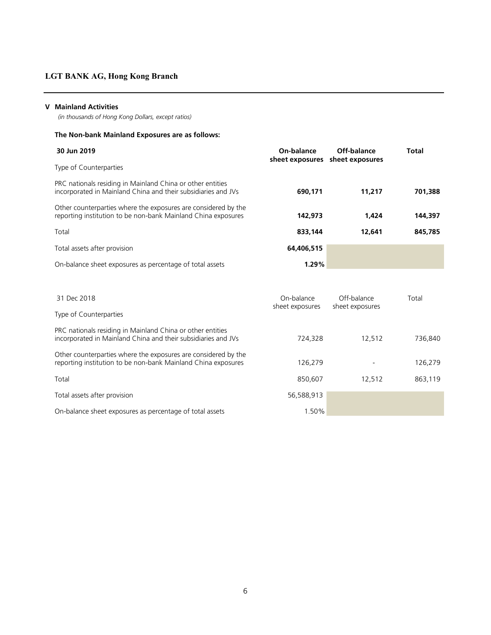### V Mainland Activities

(in thousands of Hong Kong Dollars, except ratios)

## The Non-bank Mainland Exposures are as follows:

| 30 Jun 2019                                                                                                                     | On-balance<br>sheet exposures sheet exposures |        | Total   |
|---------------------------------------------------------------------------------------------------------------------------------|-----------------------------------------------|--------|---------|
| Type of Counterparties                                                                                                          |                                               |        |         |
| PRC nationals residing in Mainland China or other entities<br>incorporated in Mainland China and their subsidiaries and JVs     | 690,171                                       | 11,217 | 701,388 |
| Other counterparties where the exposures are considered by the<br>reporting institution to be non-bank Mainland China exposures | 142,973                                       | 1,424  | 144,397 |
| Total                                                                                                                           | 833,144                                       | 12,641 | 845,785 |
| Total assets after provision                                                                                                    | 64,406,515                                    |        |         |
| On-balance sheet exposures as percentage of total assets                                                                        | 1.29%                                         |        |         |

| 31 Dec 2018                                                                                                                     | On-balance<br>sheet exposures | Off-balance<br>sheet exposures | Total   |
|---------------------------------------------------------------------------------------------------------------------------------|-------------------------------|--------------------------------|---------|
| Type of Counterparties                                                                                                          |                               |                                |         |
| PRC nationals residing in Mainland China or other entities<br>incorporated in Mainland China and their subsidiaries and JVs     | 724.328                       | 12.512                         | 736.840 |
| Other counterparties where the exposures are considered by the<br>reporting institution to be non-bank Mainland China exposures | 126.279                       |                                | 126,279 |
| Total                                                                                                                           | 850.607                       | 12.512                         | 863,119 |
| Total assets after provision                                                                                                    | 56,588,913                    |                                |         |
| On-balance sheet exposures as percentage of total assets                                                                        | 1.50%                         |                                |         |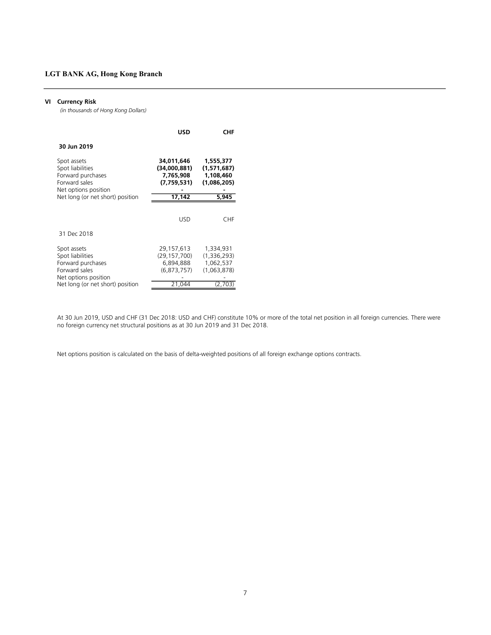#### VI Currency Risk

(in thousands of Hong Kong Dollars)

|                                                                                               | <b>USD</b>                                             | <b>CHF</b>                                           |
|-----------------------------------------------------------------------------------------------|--------------------------------------------------------|------------------------------------------------------|
| 30 Jun 2019                                                                                   |                                                        |                                                      |
| Spot assets<br>Spot liabilities<br>Forward purchases<br>Forward sales<br>Net options position | 34.011.646<br>(34,000,881)<br>7,765,908<br>(7,759,531) | 1,555,377<br>(1,571,687)<br>1,108,460<br>(1,086,205) |
| Net long (or net short) position                                                              | 17,142                                                 | 5.945                                                |
|                                                                                               | USD                                                    | CHF.                                                 |
| 31 Dec 2018                                                                                   |                                                        |                                                      |
| Spot assets<br>Spot liabilities<br>Forward purchases<br>Forward sales<br>Net options position | 29,157,613<br>(29,157,700)<br>6,894,888<br>(6.873.757) | 1,334,931<br>(1,336,293)<br>1,062,537<br>(1,063,878) |
| Net long (or net short) position                                                              | 21,044                                                 | (2,703)                                              |

At 30 Jun 2019, USD and CHF (31 Dec 2018: USD and CHF) constitute 10% or more of the total net position in all foreign currencies. There were no foreign currency net structural positions as at 30 Jun 2019 and 31 Dec 2018.

Net options position is calculated on the basis of delta-weighted positions of all foreign exchange options contracts.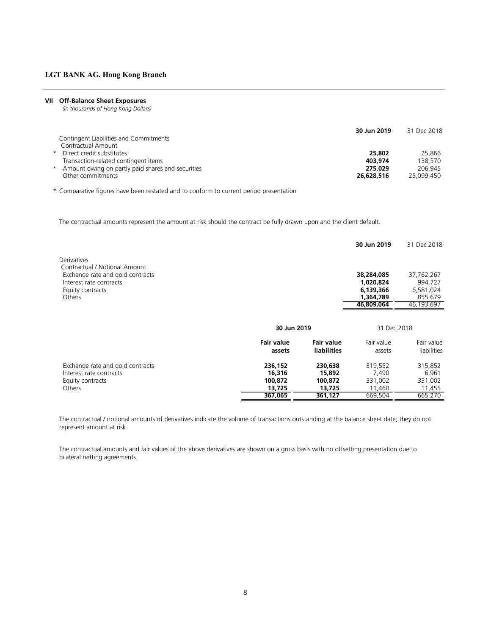#### VII Off-Balance Sheet Exposures

(in thousands of Hong Kong Dollars)

|                                                     | 30 Jun 2019 | 31 Dec 2018 |
|-----------------------------------------------------|-------------|-------------|
| Contingent Liabilities and Commitments              |             |             |
| Contractual Amount                                  |             |             |
| * Direct credit substitutes                         | 25,802      | 25,866      |
| Transaction-related contingent items                | 403.974     | 138.570     |
| * Amount owing on partly paid shares and securities | 275.029     | 206.945     |
| Other commitments                                   | 26,628,516  | 25.099.450  |

\* Comparative figures have been restated and to conform to current period presentation

The contractual amounts represent the amount at risk should the contract be fully drawn upon and the client default.

|                                                             |                   |                    | 30 Jun 2019             | 31 Dec 2018           |
|-------------------------------------------------------------|-------------------|--------------------|-------------------------|-----------------------|
| Derivatives                                                 |                   |                    |                         |                       |
| Contractual / Notional Amount                               |                   |                    |                         |                       |
| Exchange rate and gold contracts<br>Interest rate contracts |                   |                    | 38,284,085<br>1,020,824 | 37,762,267<br>994.727 |
| Equity contracts                                            |                   |                    | 6,139,366               | 6,581,024             |
| Others                                                      |                   |                    | 1,364,789               | 855,679               |
|                                                             |                   |                    | 46,809,064              | 46,193,697            |
|                                                             |                   |                    |                         |                       |
|                                                             | 30 Jun 2019       |                    | 31 Dec 2018             |                       |
|                                                             | <b>Fair value</b> | <b>Fair value</b>  | Fair value              | Fair value            |
|                                                             | assets            | <b>liabilities</b> | assets                  | liabilities           |
| Exchange rate and gold contracts                            | 236,152           | 230,638            | 319,552                 | 315,852               |
| Interest rate contracts                                     | 16,316            | 15,892             | 7,490                   | 6,961                 |
| Equity contracts                                            | 100,872           | 100,872            | 331,002                 | 331,002               |
| Others                                                      | 13,725            | 13,725             | 11,460                  | 11,455                |
|                                                             | 367,065           | 361,127            | 669,504                 | 665,270               |

The contractual / notional amounts of derivatives indicate the volume of transactions outstanding at the balance sheet date; they do not represent amount at risk.

The contractual amounts and fair values of the above derivatives are shown on a gross basis with no offsetting presentation due to bilateral netting agreements.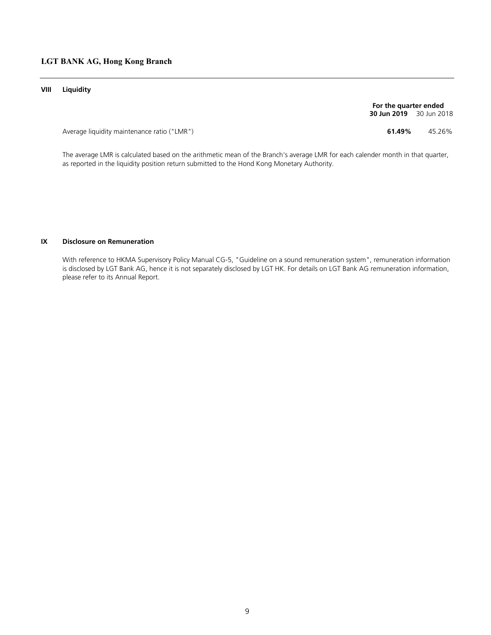### VIII Liquidity

**30 Jun 2019** 30 Jun 2018 For the quarter ended

Average liquidity maintenance ratio ("LMR") 61.49% 45.26%

The average LMR is calculated based on the arithmetic mean of the Branch's average LMR for each calender month in that quarter, as reported in the liquidity position return submitted to the Hond Kong Monetary Authority.

#### IX Disclosure on Remuneration

With reference to HKMA Supervisory Policy Manual CG-5, "Guideline on a sound remuneration system", remuneration information is disclosed by LGT Bank AG, hence it is not separately disclosed by LGT HK. For details on LGT Bank AG remuneration information, please refer to its Annual Report.